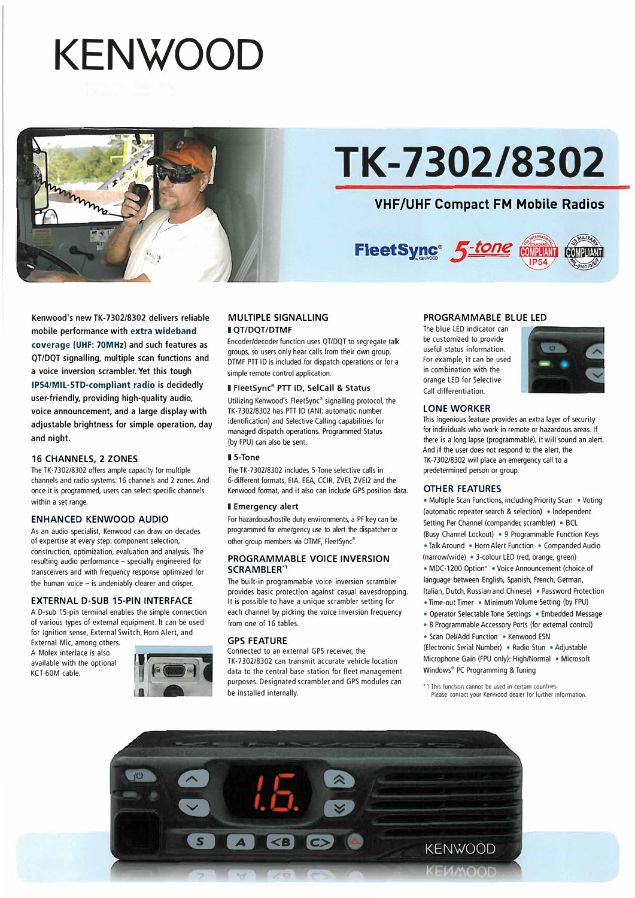# **KENWOOD**



## **TK-7302/8302**

### **VHF/UHF Compact FM Mobile Radios**



Kenwood's new TK-7302/8302 delivers reliable mobile performance with extra wideband coverage (UHF: 70MHz) and such features as QT/DQT signalling, multiple scan functions and a voice inversion scrambler. Yet this tough IPS4/MIL-STD-compliant radio is decidedly user-friendly, providing high-quality audio, voice announcement, and a large display with adjustable brightness for simple operation, day and night.

#### **16 CHANNELS, 2 ZONES**

The TK-7302/8302 offers ample capacity for multiple channels and radio systems: 16 channels and 2 zones. And once it is programmed, users can select specific channels within a set range.

#### **ENHANCED KENWOOD AUDIO**

As an audio specialist, Kenwood can draw on decades of expertise at every step: component selection, construction, optimization, evaluation and analysis. The resulting audio performance - specially engineered for transceivers and with frequency response optimized for the human voice  $-$  is undeniably clearer and crisper.

#### **EXTERNAL D-SUB 15-PIN INTERFACE**

A D·sub 15-pin terminal enables the simple connection of various types of external equipment. lt can be used for Ignition sense, External Switch, Horn Alert, and

External Mic, among others. A Molex interface is also available with the optional KCT-GOM cable.



#### **MULTIPLE SIGNALLING I** OT/DOT/DTMF

Encoder/decoder function uses QT/DQT to segregate talk groups. so users only hear calls from their own group. DTMF PTT ID is included for dispatch operations or for a simple remote control application.

#### 1 FleetSync• PTI ID, SelCall & Status

Utilizing Kenwood's FleetSync<sup>®</sup> signalling protocol, the TK-7302/8302 has PTT ID (ANI: automatic number identification) and Selective Calling capabilities for managed dispatch operations. Programmed Status (by FPU) can also be sent.

#### 15-Tone

The TK-7302/8302 includes 5-Tone selective calls in 6·different formats, EIA, EEA, CCIR, ZVEI, ZVE12 and the Kenwood format. and it also can include GPS position data.

#### 1 Emergency alert

For hazardous/hostile duty environments, a PF key can be programmed for emergency use to alert the dispatcher or other group members via DTMF, FleetSync".

#### **PROGRAMMABLE VOICE INVERSION SCRAMBLER''**

The built-in programmable voice inversion scrambler provides basic protection against casual eavesdropping. It is possible to have a unique scrambler setting for each channel by picking the voice inversion frequency from one of 16 tables.

#### **GPS FEATURE**

Connected to an external GPS receiver, the TK-7302/8302 can transmit accurate vehicle location data to the central base station for fleet management purposes. Designated scrambler and GPS modules can be installed internally.

#### **PROGRAMMABLE BLUE LED**

The blue LED indicator can be customized to provide useful status information. For example, it can be used in combination with the orange LED for Selective Cali differentiation.



#### **LONE WORKER**

This ingenious feature provides an extra layer of security for individuals who work in remote or hazardous areas. If there is a long lapse (programmable), it will sound an alert. And if the user does not respond to the alert, the TK-7302/8302 will place an emergency call to a predetermined person or group.

#### **OTHER FEATURES**

• Multiple Scan Functions, including Priority Scan • Voting (automatic repeater search & selection) • lndependent Setting Per Channel (compander, scrambler) • BCL (Busy Channel Lockout) • 9 Programmable Function Keys • Talk Around • Horn Alert Function • Companded Audio (narrow/wide) • 3-colour LED (red, orange, green) • MDC-1200 Option\* • Voice Announcement (choice of language between English, Spanish, French, German. ltalian, Dutch, Russian and Chinese) • Password Protection

- Time-out Timer Minimum Volume Setting (by FPU)
- Operator Selectable Tone Settings Embedded Message
- 8 Programmable Accessory Ports (for external contrai) • Scan Del/Add Function • Kenwood ESN

(Electronic Serial Number) • Radio Stun • Adjustable Microphone Gain (FPU only): High/Normal • Microsoft Windows® PC Programming & Tuning

\*1 This function cannot be used in certain countries. Please contact your Kenwood dealer for further mformation.